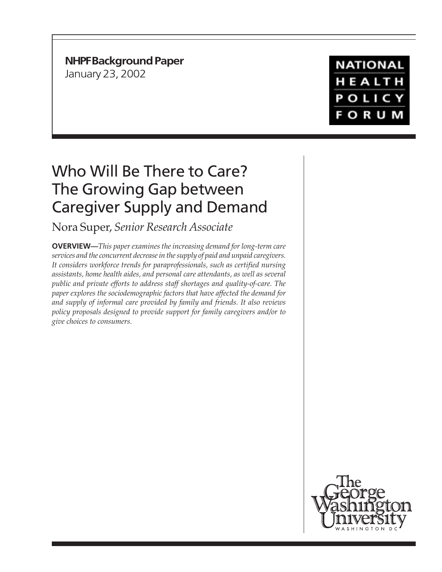**NHPF Background Paper**

January 23, 2002

**NATIONAL** HEALTH **POLICY FORUM** 

# Who Will Be There to Care? The Growing Gap between Caregiver Supply and Demand

Nora Super, *Senior Research Associate*

**OVERVIEW—***This paper examines the increasing demand for long-term care services and the concurrent decrease in the supply of paid and unpaid caregivers. It considers workforce trends for paraprofessionals, such as certified nursing assistants, home health aides, and personal care attendants, as well as several public and private efforts to address staff shortages and quality-of-care. The paper explores the sociodemographic factors that have affected the demand for and supply of informal care provided by family and friends. It also reviews policy proposals designed to provide support for family caregivers and/or to give choices to consumers.*

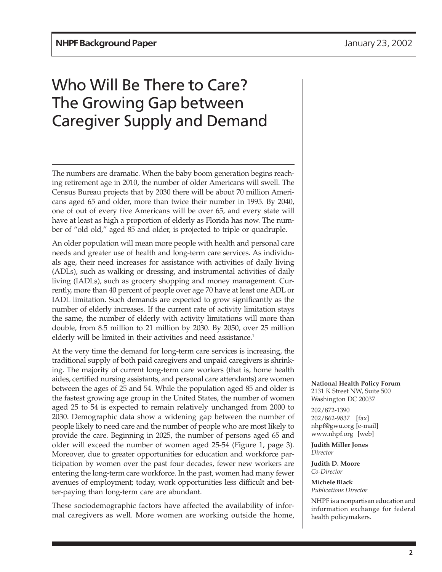# Who Will Be There to Care? The Growing Gap between Caregiver Supply and Demand

The numbers are dramatic. When the baby boom generation begins reaching retirement age in 2010, the number of older Americans will swell. The Census Bureau projects that by 2030 there will be about 70 million Americans aged 65 and older, more than twice their number in 1995. By 2040, one of out of every five Americans will be over 65, and every state will have at least as high a proportion of elderly as Florida has now. The number of "old old," aged 85 and older, is projected to triple or quadruple.

An older population will mean more people with health and personal care needs and greater use of health and long-term care services. As individuals age, their need increases for assistance with activities of daily living (ADLs), such as walking or dressing, and instrumental activities of daily living (IADLs), such as grocery shopping and money management. Currently, more than 40 percent of people over age 70 have at least one ADL or IADL limitation. Such demands are expected to grow significantly as the number of elderly increases. If the current rate of activity limitation stays the same, the number of elderly with activity limitations will more than double, from 8.5 million to 21 million by 2030. By 2050, over 25 million elderly will be limited in their activities and need assistance.<sup>1</sup>

At the very time the demand for long-term care services is increasing, the traditional supply of both paid caregivers and unpaid caregivers is shrinking. The majority of current long-term care workers (that is, home health aides, certified nursing assistants, and personal care attendants) are women between the ages of 25 and 54. While the population aged 85 and older is the fastest growing age group in the United States, the number of women aged 25 to 54 is expected to remain relatively unchanged from 2000 to 2030. Demographic data show a widening gap between the number of people likely to need care and the number of people who are most likely to provide the care. Beginning in 2025, the number of persons aged 65 and older will exceed the number of women aged 25-54 (Figure 1, page 3). Moreover, due to greater opportunities for education and workforce participation by women over the past four decades, fewer new workers are entering the long-term care workforce. In the past, women had many fewer avenues of employment; today, work opportunities less difficult and better-paying than long-term care are abundant.

These sociodemographic factors have affected the availability of informal caregivers as well. More women are working outside the home, **National Health Policy Forum** 2131 K Street NW, Suite 500 Washington DC 20037

202/872-1390 202/862-9837 [fax] nhpf@gwu.org [e-mail] www.nhpf.org [web]

**Judith Miller Jones** *Director*

**Judith D. Moore** *Co-Director*

**Michele Black** *Publications Director*

NHPF is a nonpartisan education and information exchange for federal health policymakers.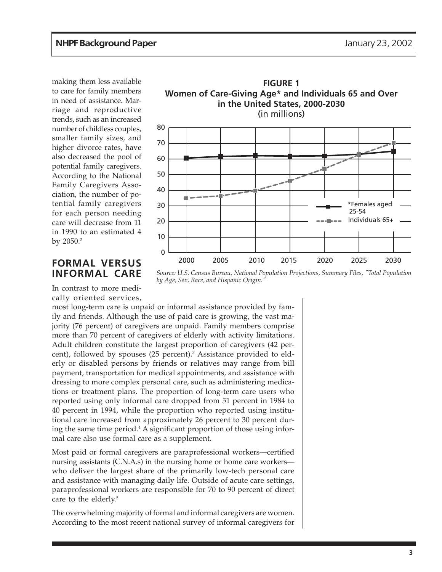making them less available to care for family members in need of assistance. Marriage and reproductive trends, such as an increased number of childless couples, smaller family sizes, and higher divorce rates, have also decreased the pool of potential family caregivers. According to the National Family Caregivers Association, the number of potential family caregivers for each person needing care will decrease from 11 in 1990 to an estimated 4 by  $2050.<sup>2</sup>$ 

#### **FORMAL VERSUS INFORMAL CARE**

In contrast to more medically oriented services,



*Source: U.S. Census Bureau, National Population Projections, Summary Files, "Total Population by Age, Sex, Race, and Hispanic Origin."*

most long-term care is unpaid or informal assistance provided by family and friends. Although the use of paid care is growing, the vast majority (76 percent) of caregivers are unpaid. Family members comprise more than 70 percent of caregivers of elderly with activity limitations. Adult children constitute the largest proportion of caregivers (42 percent), followed by spouses (25 percent).<sup>3</sup> Assistance provided to elderly or disabled persons by friends or relatives may range from bill payment, transportation for medical appointments, and assistance with dressing to more complex personal care, such as administering medications or treatment plans. The proportion of long-term care users who reported using only informal care dropped from 51 percent in 1984 to 40 percent in 1994, while the proportion who reported using institutional care increased from approximately 26 percent to 30 percent during the same time period.<sup>4</sup> A significant proportion of those using informal care also use formal care as a supplement.

Most paid or formal caregivers are paraprofessional workers—certified nursing assistants (C.N.A.s) in the nursing home or home care workers who deliver the largest share of the primarily low-tech personal care and assistance with managing daily life. Outside of acute care settings, paraprofessional workers are responsible for 70 to 90 percent of direct care to the elderly.<sup>5</sup>

The overwhelming majority of formal and informal caregivers are women. According to the most recent national survey of informal caregivers for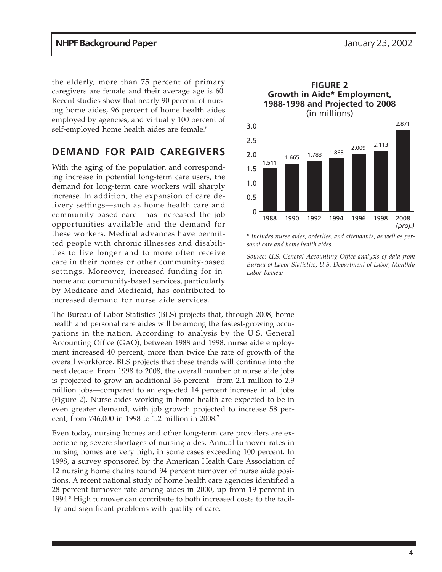the elderly, more than 75 percent of primary caregivers are female and their average age is 60. Recent studies show that nearly 90 percent of nursing home aides, 96 percent of home health aides employed by agencies, and virtually 100 percent of self-employed home health aides are female.<sup>6</sup>

## **DEMAND FOR PAID CAREGIVERS**

With the aging of the population and corresponding increase in potential long-term care users, the demand for long-term care workers will sharply increase. In addition, the expansion of care delivery settings—such as home health care and community-based care—has increased the job opportunities available and the demand for these workers. Medical advances have permitted people with chronic illnesses and disabilities to live longer and to more often receive care in their homes or other community-based settings. Moreover, increased funding for inhome and community-based services, particularly by Medicare and Medicaid, has contributed to increased demand for nurse aide services.

The Bureau of Labor Statistics (BLS) projects that, through 2008, home health and personal care aides will be among the fastest-growing occupations in the nation. According to analysis by the U.S. General Accounting Office (GAO), between 1988 and 1998, nurse aide employment increased 40 percent, more than twice the rate of growth of the overall workforce. BLS projects that these trends will continue into the next decade. From 1998 to 2008, the overall number of nurse aide jobs is projected to grow an additional 36 percent—from 2.1 million to 2.9 million jobs—compared to an expected 14 percent increase in all jobs (Figure 2). Nurse aides working in home health are expected to be in even greater demand, with job growth projected to increase 58 percent, from 746,000 in 1998 to 1.2 million in 2008.7

Even today, nursing homes and other long-term care providers are experiencing severe shortages of nursing aides. Annual turnover rates in nursing homes are very high, in some cases exceeding 100 percent. In 1998, a survey sponsored by the American Health Care Association of 12 nursing home chains found 94 percent turnover of nurse aide positions. A recent national study of home health care agencies identified a 28 percent turnover rate among aides in 2000, up from 19 percent in 1994.<sup>8</sup> High turnover can contribute to both increased costs to the facility and significant problems with quality of care.



*\* Includes nurse aides, orderlies, and attendants, as well as personal care and home health aides.*

*Source: U.S. General Accounting Office analysis of data from Bureau of Labor Statistics, U.S. Department of Labor, Monthly Labor Review.*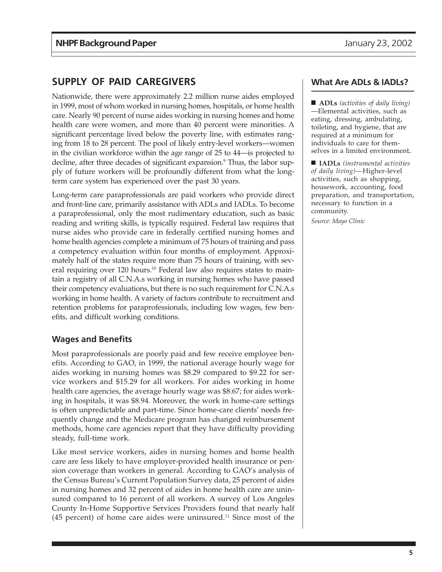### **SUPPLY OF PAID CAREGIVERS**

Nationwide, there were approximately 2.2 million nurse aides employed in 1999, most of whom worked in nursing homes, hospitals, or home health care. Nearly 90 percent of nurse aides working in nursing homes and home health care were women, and more than 40 percent were minorities. A significant percentage lived below the poverty line, with estimates ranging from 18 to 28 percent. The pool of likely entry-level workers—women in the civilian workforce within the age range of 25 to 44—is projected to decline, after three decades of significant expansion.<sup>9</sup> Thus, the labor supply of future workers will be profoundly different from what the longterm care system has experienced over the past 30 years.

Long-term care paraprofessionals are paid workers who provide direct and front-line care, primarily assistance with ADLs and IADLs. To become a paraprofessional, only the most rudimentary education, such as basic reading and writing skills, is typically required. Federal law requires that nurse aides who provide care in federally certified nursing homes and home health agencies complete a minimum of 75 hours of training and pass a competency evaluation within four months of employment. Approximately half of the states require more than 75 hours of training, with several requiring over 120 hours.<sup>10</sup> Federal law also requires states to maintain a registry of all C.N.A.s working in nursing homes who have passed their competency evaluations, but there is no such requirement for C.N.A.s working in home health. A variety of factors contribute to recruitment and retention problems for paraprofessionals, including low wages, few benefits, and difficult working conditions.

#### **Wages and Benefits**

Most paraprofessionals are poorly paid and few receive employee benefits. According to GAO, in 1999, the national average hourly wage for aides working in nursing homes was \$8.29 compared to \$9.22 for service workers and \$15.29 for all workers. For aides working in home health care agencies, the average hourly wage was \$8.67; for aides working in hospitals, it was \$8.94. Moreover, the work in home-care settings is often unpredictable and part-time. Since home-care clients' needs frequently change and the Medicare program has changed reimbursement methods, home care agencies report that they have difficulty providing steady, full-time work.

Like most service workers, aides in nursing homes and home health care are less likely to have employer-provided health insurance or pension coverage than workers in general. According to GAO's analysis of the Census Bureau's Current Population Survey data, 25 percent of aides in nursing homes and 32 percent of aides in home health care are uninsured compared to 16 percent of all workers. A survey of Los Angeles County In-Home Supportive Services Providers found that nearly half  $(45$  percent) of home care aides were uninsured.<sup>11</sup> Since most of the

#### **What Are ADLs & IADLs?**

■ **ADLs** *(activities of daily living)* —Elemental activities, such as eating, dressing, ambulating, toileting, and hygiene, that are required at a minimum for individuals to care for themselves in a limited environment**.**

■ **IADLs** *(instrumental activities of daily living)—*Higher-level activities, such as shopping, housework, accounting, food preparation, and transportation, necessary to function in a community.

*Source: Mayo Clinic*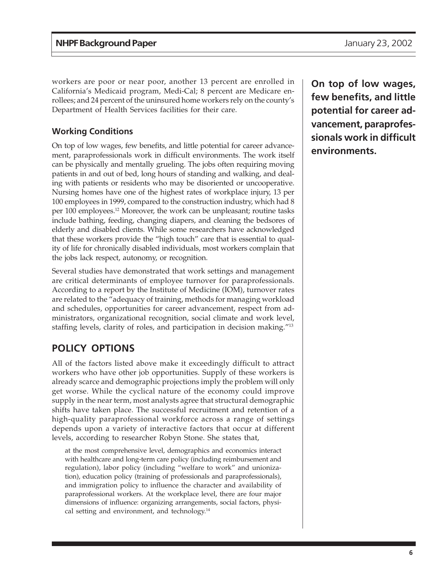workers are poor or near poor, another 13 percent are enrolled in California's Medicaid program, Medi-Cal; 8 percent are Medicare enrollees; and 24 percent of the uninsured home workers rely on the county's Department of Health Services facilities for their care.

#### **Working Conditions**

On top of low wages, few benefits, and little potential for career advancement, paraprofessionals work in difficult environments. The work itself can be physically and mentally grueling. The jobs often requiring moving patients in and out of bed, long hours of standing and walking, and dealing with patients or residents who may be disoriented or uncooperative. Nursing homes have one of the highest rates of workplace injury, 13 per 100 employees in 1999, compared to the construction industry, which had 8 per 100 employees.12 Moreover, the work can be unpleasant; routine tasks include bathing, feeding, changing diapers, and cleaning the bedsores of elderly and disabled clients. While some researchers have acknowledged that these workers provide the "high touch" care that is essential to quality of life for chronically disabled individuals, most workers complain that the jobs lack respect, autonomy, or recognition.

Several studies have demonstrated that work settings and management are critical determinants of employee turnover for paraprofessionals. According to a report by the Institute of Medicine (IOM), turnover rates are related to the "adequacy of training, methods for managing workload and schedules, opportunities for career advancement, respect from administrators, organizational recognition, social climate and work level, staffing levels, clarity of roles, and participation in decision making."13

## **POLICY OPTIONS**

All of the factors listed above make it exceedingly difficult to attract workers who have other job opportunities. Supply of these workers is already scarce and demographic projections imply the problem will only get worse. While the cyclical nature of the economy could improve supply in the near term, most analysts agree that structural demographic shifts have taken place. The successful recruitment and retention of a high-quality paraprofessional workforce across a range of settings depends upon a variety of interactive factors that occur at different levels, according to researcher Robyn Stone. She states that,

at the most comprehensive level, demographics and economics interact with healthcare and long-term care policy (including reimbursement and regulation), labor policy (including "welfare to work" and unionization), education policy (training of professionals and paraprofessionals), and immigration policy to influence the character and availability of paraprofessional workers. At the workplace level, there are four major dimensions of influence: organizing arrangements, social factors, physical setting and environment, and technology.14

**On top of low wages, few benefits, and little potential for career advancement, paraprofessionals work in difficult environments.**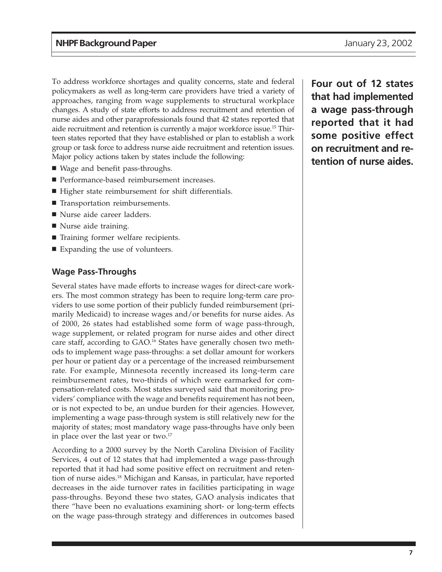To address workforce shortages and quality concerns, state and federal policymakers as well as long-term care providers have tried a variety of approaches, ranging from wage supplements to structural workplace changes. A study of state efforts to address recruitment and retention of nurse aides and other paraprofessionals found that 42 states reported that aide recruitment and retention is currently a major workforce issue.15 Thirteen states reported that they have established or plan to establish a work group or task force to address nurse aide recruitment and retention issues. Major policy actions taken by states include the following:

- Wage and benefit pass-throughs.
- Performance-based reimbursement increases.
- Higher state reimbursement for shift differentials.
- Transportation reimbursements.
- Nurse aide career ladders.
- Nurse aide training.
- Training former welfare recipients.
- Expanding the use of volunteers.

#### **Wage Pass-Throughs**

Several states have made efforts to increase wages for direct-care workers. The most common strategy has been to require long-term care providers to use some portion of their publicly funded reimbursement (primarily Medicaid) to increase wages and/or benefits for nurse aides. As of 2000, 26 states had established some form of wage pass-through, wage supplement, or related program for nurse aides and other direct care staff, according to GAO.<sup>16</sup> States have generally chosen two methods to implement wage pass-throughs: a set dollar amount for workers per hour or patient day or a percentage of the increased reimbursement rate. For example, Minnesota recently increased its long-term care reimbursement rates, two-thirds of which were earmarked for compensation-related costs. Most states surveyed said that monitoring providers' compliance with the wage and benefits requirement has not been, or is not expected to be, an undue burden for their agencies. However, implementing a wage pass-through system is still relatively new for the majority of states; most mandatory wage pass-throughs have only been in place over the last year or two.<sup>17</sup>

According to a 2000 survey by the North Carolina Division of Facility Services, 4 out of 12 states that had implemented a wage pass-through reported that it had had some positive effect on recruitment and retention of nurse aides.18 Michigan and Kansas, in particular, have reported decreases in the aide turnover rates in facilities participating in wage pass-throughs. Beyond these two states, GAO analysis indicates that there "have been no evaluations examining short- or long-term effects on the wage pass-through strategy and differences in outcomes based

**Four out of 12 states that had implemented a wage pass-through reported that it had some positive effect on recruitment and retention of nurse aides.**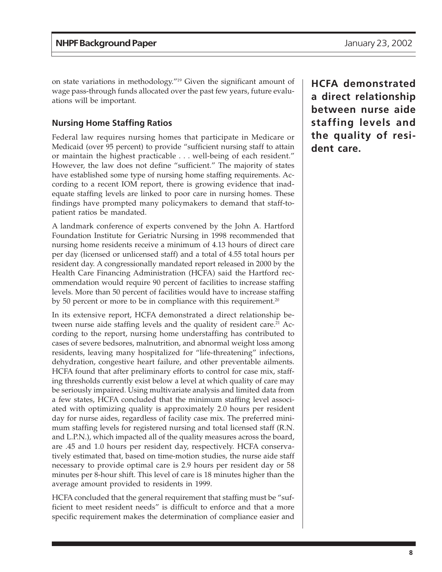on state variations in methodology."19 Given the significant amount of wage pass-through funds allocated over the past few years, future evaluations will be important.

#### **Nursing Home Staffing Ratios**

Federal law requires nursing homes that participate in Medicare or Medicaid (over 95 percent) to provide "sufficient nursing staff to attain or maintain the highest practicable . . . well-being of each resident." However, the law does not define "sufficient." The majority of states have established some type of nursing home staffing requirements. According to a recent IOM report, there is growing evidence that inadequate staffing levels are linked to poor care in nursing homes. These findings have prompted many policymakers to demand that staff-topatient ratios be mandated.

A landmark conference of experts convened by the John A. Hartford Foundation Institute for Geriatric Nursing in 1998 recommended that nursing home residents receive a minimum of 4.13 hours of direct care per day (licensed or unlicensed staff) and a total of 4.55 total hours per resident day. A congressionally mandated report released in 2000 by the Health Care Financing Administration (HCFA) said the Hartford recommendation would require 90 percent of facilities to increase staffing levels. More than 50 percent of facilities would have to increase staffing by 50 percent or more to be in compliance with this requirement.<sup>20</sup>

In its extensive report, HCFA demonstrated a direct relationship between nurse aide staffing levels and the quality of resident care.<sup>21</sup> According to the report, nursing home understaffing has contributed to cases of severe bedsores, malnutrition, and abnormal weight loss among residents, leaving many hospitalized for "life-threatening" infections, dehydration, congestive heart failure, and other preventable ailments. HCFA found that after preliminary efforts to control for case mix, staffing thresholds currently exist below a level at which quality of care may be seriously impaired. Using multivariate analysis and limited data from a few states, HCFA concluded that the minimum staffing level associated with optimizing quality is approximately 2.0 hours per resident day for nurse aides, regardless of facility case mix. The preferred minimum staffing levels for registered nursing and total licensed staff (R.N. and L.P.N.), which impacted all of the quality measures across the board, are .45 and 1.0 hours per resident day, respectively. HCFA conservatively estimated that, based on time-motion studies, the nurse aide staff necessary to provide optimal care is 2.9 hours per resident day or 58 minutes per 8-hour shift. This level of care is 18 minutes higher than the average amount provided to residents in 1999.

HCFA concluded that the general requirement that staffing must be "sufficient to meet resident needs" is difficult to enforce and that a more specific requirement makes the determination of compliance easier and

**HCFA demonstrated a direct relationship between nurse aide staffing levels and the quality of resident care.**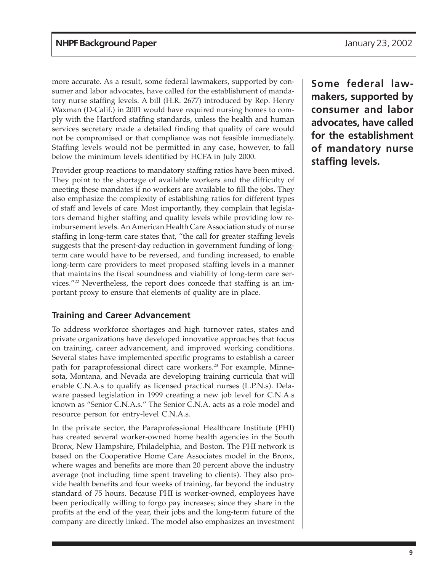more accurate. As a result, some federal lawmakers, supported by consumer and labor advocates, have called for the establishment of mandatory nurse staffing levels. A bill (H.R. 2677) introduced by Rep. Henry Waxman (D-Calif.) in 2001 would have required nursing homes to comply with the Hartford staffing standards, unless the health and human services secretary made a detailed finding that quality of care would not be compromised or that compliance was not feasible immediately. Staffing levels would not be permitted in any case, however, to fall below the minimum levels identified by HCFA in July 2000.

Provider group reactions to mandatory staffing ratios have been mixed. They point to the shortage of available workers and the difficulty of meeting these mandates if no workers are available to fill the jobs. They also emphasize the complexity of establishing ratios for different types of staff and levels of care. Most importantly, they complain that legislators demand higher staffing and quality levels while providing low reimbursement levels. An American Health Care Association study of nurse staffing in long-term care states that, "the call for greater staffing levels suggests that the present-day reduction in government funding of longterm care would have to be reversed, and funding increased, to enable long-term care providers to meet proposed staffing levels in a manner that maintains the fiscal soundness and viability of long-term care services."22 Nevertheless, the report does concede that staffing is an important proxy to ensure that elements of quality are in place.

#### **Training and Career Advancement**

To address workforce shortages and high turnover rates, states and private organizations have developed innovative approaches that focus on training, career advancement, and improved working conditions. Several states have implemented specific programs to establish a career path for paraprofessional direct care workers.<sup>23</sup> For example, Minnesota, Montana, and Nevada are developing training curricula that will enable C.N.A.s to qualify as licensed practical nurses (L.P.N.s). Delaware passed legislation in 1999 creating a new job level for C.N.A.s known as "Senior C.N.A.s." The Senior C.N.A. acts as a role model and resource person for entry-level C.N.A.s.

In the private sector, the Paraprofessional Healthcare Institute (PHI) has created several worker-owned home health agencies in the South Bronx, New Hampshire, Philadelphia, and Boston. The PHI network is based on the Cooperative Home Care Associates model in the Bronx, where wages and benefits are more than 20 percent above the industry average (not including time spent traveling to clients). They also provide health benefits and four weeks of training, far beyond the industry standard of 75 hours. Because PHI is worker-owned, employees have been periodically willing to forgo pay increases; since they share in the profits at the end of the year, their jobs and the long-term future of the company are directly linked. The model also emphasizes an investment

**Some federal lawmakers, supported by consumer and labor advocates, have called for the establishment of mandatory nurse staffing levels.**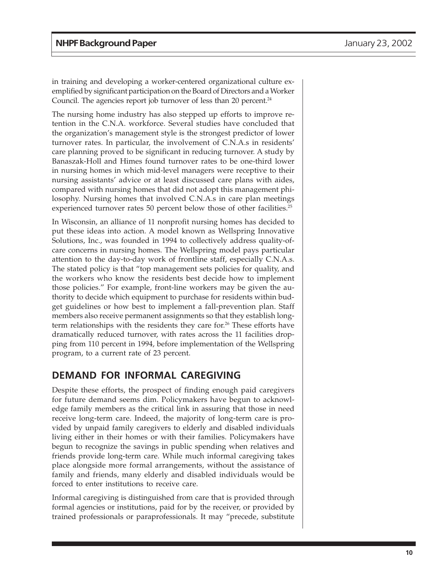in training and developing a worker-centered organizational culture exemplified by significant participation on the Board of Directors and a Worker Council. The agencies report job turnover of less than 20 percent.<sup>24</sup>

The nursing home industry has also stepped up efforts to improve retention in the C.N.A. workforce. Several studies have concluded that the organization's management style is the strongest predictor of lower turnover rates. In particular, the involvement of C.N.A.s in residents' care planning proved to be significant in reducing turnover. A study by Banaszak-Holl and Himes found turnover rates to be one-third lower in nursing homes in which mid-level managers were receptive to their nursing assistants' advice or at least discussed care plans with aides, compared with nursing homes that did not adopt this management philosophy. Nursing homes that involved C.N.A.s in care plan meetings experienced turnover rates 50 percent below those of other facilities.<sup>25</sup>

In Wisconsin, an alliance of 11 nonprofit nursing homes has decided to put these ideas into action. A model known as Wellspring Innovative Solutions, Inc., was founded in 1994 to collectively address quality-ofcare concerns in nursing homes. The Wellspring model pays particular attention to the day-to-day work of frontline staff, especially C.N.A.s. The stated policy is that "top management sets policies for quality, and the workers who know the residents best decide how to implement those policies." For example, front-line workers may be given the authority to decide which equipment to purchase for residents within budget guidelines or how best to implement a fall-prevention plan. Staff members also receive permanent assignments so that they establish longterm relationships with the residents they care for.<sup>26</sup> These efforts have dramatically reduced turnover, with rates across the 11 facilities dropping from 110 percent in 1994, before implementation of the Wellspring program, to a current rate of 23 percent.

#### **DEMAND FOR INFORMAL CAREGIVING**

Despite these efforts, the prospect of finding enough paid caregivers for future demand seems dim. Policymakers have begun to acknowledge family members as the critical link in assuring that those in need receive long-term care. Indeed, the majority of long-term care is provided by unpaid family caregivers to elderly and disabled individuals living either in their homes or with their families. Policymakers have begun to recognize the savings in public spending when relatives and friends provide long-term care. While much informal caregiving takes place alongside more formal arrangements, without the assistance of family and friends, many elderly and disabled individuals would be forced to enter institutions to receive care.

Informal caregiving is distinguished from care that is provided through formal agencies or institutions, paid for by the receiver, or provided by trained professionals or paraprofessionals. It may "precede, substitute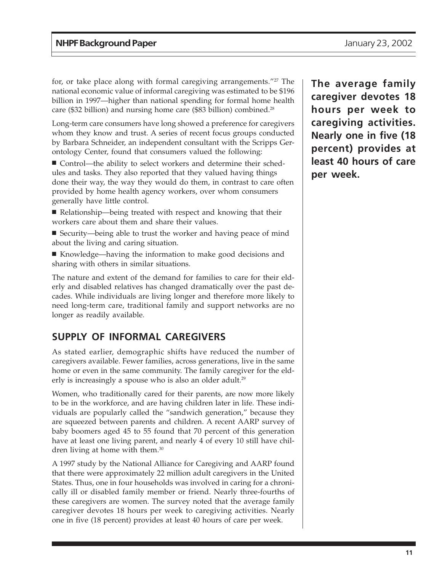for, or take place along with formal caregiving arrangements."<sup>27</sup> The national economic value of informal caregiving was estimated to be \$196 billion in 1997—higher than national spending for formal home health care (\$32 billion) and nursing home care (\$83 billion) combined.28

Long-term care consumers have long showed a preference for caregivers whom they know and trust. A series of recent focus groups conducted by Barbara Schneider, an independent consultant with the Scripps Gerontology Center, found that consumers valued the following:

■ Control—the ability to select workers and determine their schedules and tasks. They also reported that they valued having things done their way, the way they would do them, in contrast to care often provided by home health agency workers, over whom consumers generally have little control.

- Relationship—being treated with respect and knowing that their workers care about them and share their values.
- Security—being able to trust the worker and having peace of mind about the living and caring situation.
- Knowledge—having the information to make good decisions and sharing with others in similar situations.

The nature and extent of the demand for families to care for their elderly and disabled relatives has changed dramatically over the past decades. While individuals are living longer and therefore more likely to need long-term care, traditional family and support networks are no longer as readily available.

## **SUPPLY OF INFORMAL CAREGIVERS**

As stated earlier, demographic shifts have reduced the number of caregivers available. Fewer families, across generations, live in the same home or even in the same community. The family caregiver for the elderly is increasingly a spouse who is also an older adult.<sup>29</sup>

Women, who traditionally cared for their parents, are now more likely to be in the workforce, and are having children later in life. These individuals are popularly called the "sandwich generation," because they are squeezed between parents and children. A recent AARP survey of baby boomers aged 45 to 55 found that 70 percent of this generation have at least one living parent, and nearly 4 of every 10 still have children living at home with them.30

A 1997 study by the National Alliance for Caregiving and AARP found that there were approximately 22 million adult caregivers in the United States. Thus, one in four households was involved in caring for a chronically ill or disabled family member or friend. Nearly three-fourths of these caregivers are women. The survey noted that the average family caregiver devotes 18 hours per week to caregiving activities. Nearly one in five (18 percent) provides at least 40 hours of care per week.

**The average family caregiver devotes 18 hours per week to caregiving activities. Nearly one in five (18 percent) provides at least 40 hours of care per week.**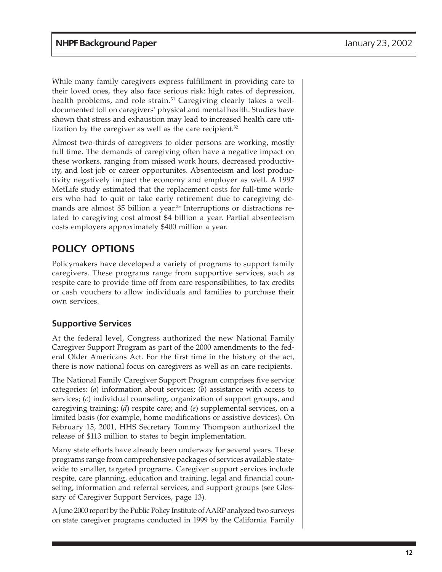While many family caregivers express fulfillment in providing care to their loved ones, they also face serious risk: high rates of depression, health problems, and role strain.<sup>31</sup> Caregiving clearly takes a welldocumented toll on caregivers' physical and mental health. Studies have shown that stress and exhaustion may lead to increased health care utilization by the caregiver as well as the care recipient.<sup>32</sup>

Almost two-thirds of caregivers to older persons are working, mostly full time. The demands of caregiving often have a negative impact on these workers, ranging from missed work hours, decreased productivity, and lost job or career opportunites. Absenteeism and lost productivity negatively impact the economy and employer as well. A 1997 MetLife study estimated that the replacement costs for full-time workers who had to quit or take early retirement due to caregiving demands are almost \$5 billion a year.<sup>33</sup> Interruptions or distractions related to caregiving cost almost \$4 billion a year. Partial absenteeism costs employers approximately \$400 million a year.

# **POLICY OPTIONS**

Policymakers have developed a variety of programs to support family caregivers. These programs range from supportive services, such as respite care to provide time off from care responsibilities, to tax credits or cash vouchers to allow individuals and families to purchase their own services.

#### **Supportive Services**

At the federal level, Congress authorized the new National Family Caregiver Support Program as part of the 2000 amendments to the federal Older Americans Act. For the first time in the history of the act, there is now national focus on caregivers as well as on care recipients.

The National Family Caregiver Support Program comprises five service categories: (*a*) information about services; (*b*) assistance with access to services; (*c*) individual counseling, organization of support groups, and caregiving training; (*d*) respite care; and (*e*) supplemental services, on a limited basis (for example, home modifications or assistive devices). On February 15, 2001, HHS Secretary Tommy Thompson authorized the release of \$113 million to states to begin implementation.

Many state efforts have already been underway for several years. These programs range from comprehensive packages of services available statewide to smaller, targeted programs. Caregiver support services include respite, care planning, education and training, legal and financial counseling, information and referral services, and support groups (see Glossary of Caregiver Support Services, page 13).

A June 2000 report by the Public Policy Institute of AARP analyzed two surveys on state caregiver programs conducted in 1999 by the California Family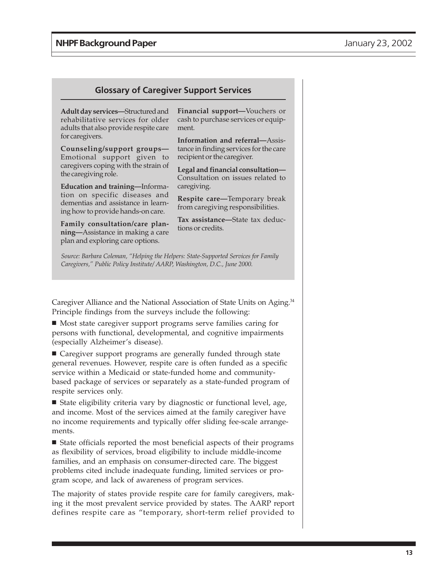#### **Glossary of Caregiver Support Services**

**Adult day services—**Structured and rehabilitative services for older adults that also provide respite care for caregivers.

**Counseling/support groups—** Emotional support given to caregivers coping with the strain of the caregiving role.

**Education and training—**Information on specific diseases and dementias and assistance in learning how to provide hands-on care.

**Family consultation/care planning—**Assistance in making a care plan and exploring care options.

**Financial support—**Vouchers or cash to purchase services or equipment.

**Information and referral—**Assistance in finding services for the care recipient or the caregiver.

**Legal and financial consultation—** Consultation on issues related to caregiving.

**Respite care—**Temporary break from caregiving responsibilities.

**Tax assistance—**State tax deductions or credits.

*Source: Barbara Coleman, "Helping the Helpers: State-Supported Services for Family Caregivers," Public Policy Institute/ AARP, Washington, D.C., June 2000.*

Caregiver Alliance and the National Association of State Units on Aging.<sup>34</sup> Principle findings from the surveys include the following:

■ Most state caregiver support programs serve families caring for persons with functional, developmental, and cognitive impairments (especially Alzheimer's disease).

■ Caregiver support programs are generally funded through state general revenues. However, respite care is often funded as a specific service within a Medicaid or state-funded home and communitybased package of services or separately as a state-funded program of respite services only.

■ State eligibility criteria vary by diagnostic or functional level, age, and income. Most of the services aimed at the family caregiver have no income requirements and typically offer sliding fee-scale arrangements.

■ State officials reported the most beneficial aspects of their programs as flexibility of services, broad eligibility to include middle-income families, and an emphasis on consumer-directed care. The biggest problems cited include inadequate funding, limited services or program scope, and lack of awareness of program services.

The majority of states provide respite care for family caregivers, making it the most prevalent service provided by states. The AARP report defines respite care as "temporary, short-term relief provided to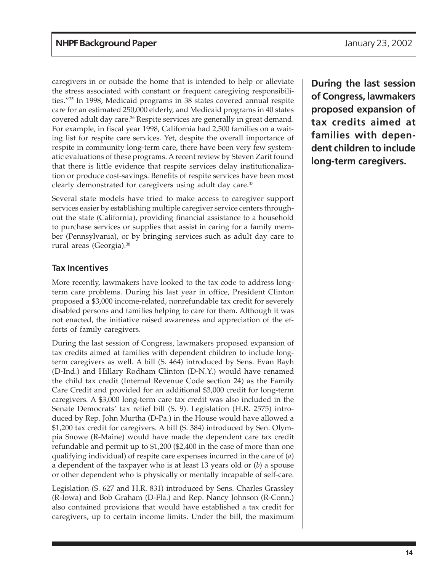caregivers in or outside the home that is intended to help or alleviate the stress associated with constant or frequent caregiving responsibilities."35 In 1998, Medicaid programs in 38 states covered annual respite care for an estimated 250,000 elderly, and Medicaid programs in 40 states covered adult day care.<sup>36</sup> Respite services are generally in great demand. For example, in fiscal year 1998, California had 2,500 families on a waiting list for respite care services. Yet, despite the overall importance of respite in community long-term care, there have been very few systematic evaluations of these programs. A recent review by Steven Zarit found that there is little evidence that respite services delay institutionalization or produce cost-savings. Benefits of respite services have been most clearly demonstrated for caregivers using adult day care.<sup>37</sup>

Several state models have tried to make access to caregiver support services easier by establishing multiple caregiver service centers throughout the state (California), providing financial assistance to a household to purchase services or supplies that assist in caring for a family member (Pennsylvania), or by bringing services such as adult day care to rural areas (Georgia).38

#### **Tax Incentives**

More recently, lawmakers have looked to the tax code to address longterm care problems. During his last year in office, President Clinton proposed a \$3,000 income-related, nonrefundable tax credit for severely disabled persons and families helping to care for them. Although it was not enacted, the initiative raised awareness and appreciation of the efforts of family caregivers.

During the last session of Congress, lawmakers proposed expansion of tax credits aimed at families with dependent children to include longterm caregivers as well. A bill (S. 464) introduced by Sens. Evan Bayh (D-Ind.) and Hillary Rodham Clinton (D-N.Y.) would have renamed the child tax credit (Internal Revenue Code section 24) as the Family Care Credit and provided for an additional \$3,000 credit for long-term caregivers. A \$3,000 long-term care tax credit was also included in the Senate Democrats' tax relief bill (S. 9). Legislation (H.R. 2575) introduced by Rep. John Murtha (D-Pa.) in the House would have allowed a \$1,200 tax credit for caregivers. A bill (S. 384) introduced by Sen. Olympia Snowe (R-Maine) would have made the dependent care tax credit refundable and permit up to \$1,200 (\$2,400 in the case of more than one qualifying individual) of respite care expenses incurred in the care of (*a*) a dependent of the taxpayer who is at least 13 years old or (*b*) a spouse or other dependent who is physically or mentally incapable of self-care.

Legislation (S. 627 and H.R. 831) introduced by Sens. Charles Grassley (R-Iowa) and Bob Graham (D-Fla.) and Rep. Nancy Johnson (R-Conn.) also contained provisions that would have established a tax credit for caregivers, up to certain income limits. Under the bill, the maximum

**During the last session of Congress, lawmakers proposed expansion of tax credits aimed at families with dependent children to include long-term caregivers.**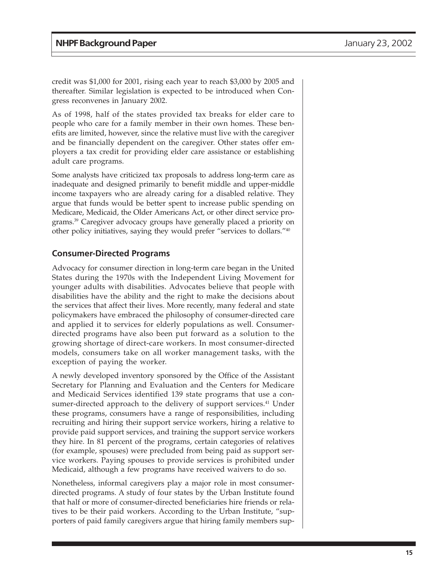credit was \$1,000 for 2001, rising each year to reach \$3,000 by 2005 and thereafter. Similar legislation is expected to be introduced when Congress reconvenes in January 2002.

As of 1998, half of the states provided tax breaks for elder care to people who care for a family member in their own homes. These benefits are limited, however, since the relative must live with the caregiver and be financially dependent on the caregiver. Other states offer employers a tax credit for providing elder care assistance or establishing adult care programs.

Some analysts have criticized tax proposals to address long-term care as inadequate and designed primarily to benefit middle and upper-middle income taxpayers who are already caring for a disabled relative. They argue that funds would be better spent to increase public spending on Medicare, Medicaid, the Older Americans Act, or other direct service programs.39 Caregiver advocacy groups have generally placed a priority on other policy initiatives, saying they would prefer "services to dollars."40

#### **Consumer-Directed Programs**

Advocacy for consumer direction in long-term care began in the United States during the 1970s with the Independent Living Movement for younger adults with disabilities. Advocates believe that people with disabilities have the ability and the right to make the decisions about the services that affect their lives. More recently, many federal and state policymakers have embraced the philosophy of consumer-directed care and applied it to services for elderly populations as well. Consumerdirected programs have also been put forward as a solution to the growing shortage of direct-care workers. In most consumer-directed models, consumers take on all worker management tasks, with the exception of paying the worker.

A newly developed inventory sponsored by the Office of the Assistant Secretary for Planning and Evaluation and the Centers for Medicare and Medicaid Services identified 139 state programs that use a consumer-directed approach to the delivery of support services.<sup>41</sup> Under these programs, consumers have a range of responsibilities, including recruiting and hiring their support service workers, hiring a relative to provide paid support services, and training the support service workers they hire. In 81 percent of the programs, certain categories of relatives (for example, spouses) were precluded from being paid as support service workers. Paying spouses to provide services is prohibited under Medicaid, although a few programs have received waivers to do so.

Nonetheless, informal caregivers play a major role in most consumerdirected programs. A study of four states by the Urban Institute found that half or more of consumer-directed beneficiaries hire friends or relatives to be their paid workers. According to the Urban Institute, "supporters of paid family caregivers argue that hiring family members sup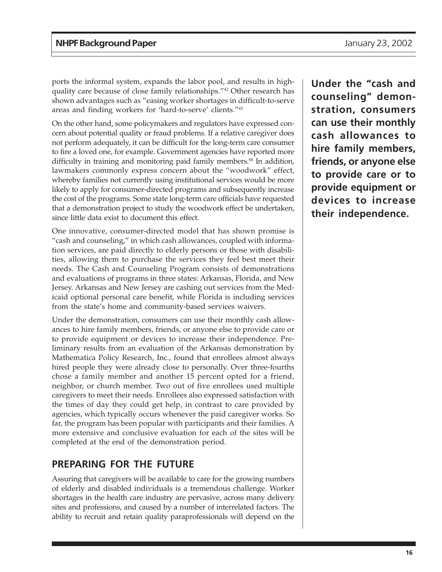ports the informal system, expands the labor pool, and results in highquality care because of close family relationships."42 Other research has shown advantages such as "easing worker shortages in difficult-to-serve areas and finding workers for 'hard-to-serve' clients."43

On the other hand, some policymakers and regulators have expressed concern about potential quality or fraud problems. If a relative caregiver does not perform adequately, it can be difficult for the long-term care consumer to fire a loved one, for example. Government agencies have reported more difficulty in training and monitoring paid family members.<sup>44</sup> In addition, lawmakers commonly express concern about the "woodwork" effect, whereby families not currently using institutional services would be more likely to apply for consumer-directed programs and subsequently increase the cost of the programs. Some state long-term care officials have requested that a demonstration project to study the woodwork effect be undertaken, since little data exist to document this effect.

One innovative, consumer-directed model that has shown promise is "cash and counseling," in which cash allowances, coupled with information services, are paid directly to elderly persons or those with disabilities, allowing them to purchase the services they feel best meet their needs. The Cash and Counseling Program consists of demonstrations and evaluations of programs in three states: Arkansas, Florida, and New Jersey. Arkansas and New Jersey are cashing out services from the Medicaid optional personal care benefit, while Florida is including services from the state's home and community-based services waivers.

Under the demonstration, consumers can use their monthly cash allowances to hire family members, friends, or anyone else to provide care or to provide equipment or devices to increase their independence. Preliminary results from an evaluation of the Arkansas demonstration by Mathematica Policy Research, Inc., found that enrollees almost always hired people they were already close to personally. Over three-fourths neighbor, or church member. Two out of five enrollees used multiple caregivers to meet their needs. Enrollees also expressed satisfaction with the times of day they could get help, in contrast to care provided by agencies, which typically occurs whenever the paid caregiver works. So far, the program has been popular with participants and their families. A more extensive and conclusive evaluation for each of the sites will be completed at the end of the demonstration period. chose a family member and another 15 percent opted for a friend,

### **PREPARING FOR THE FUTURE**

Assuring that caregivers will be available to care for the growing numbers of elderly and disabled individuals is a tremendous challenge. Worker shortages in the health care industry are pervasive, across many delivery sites and professions, and caused by a number of interrelated factors. The ability to recruit and retain quality paraprofessionals will depend on the **Under the "cash and counseling" demonstration, consumers can use their monthly cash allowances to hire family members, friends, or anyone else to provide care or to provide equipment or devices to increase their independence.**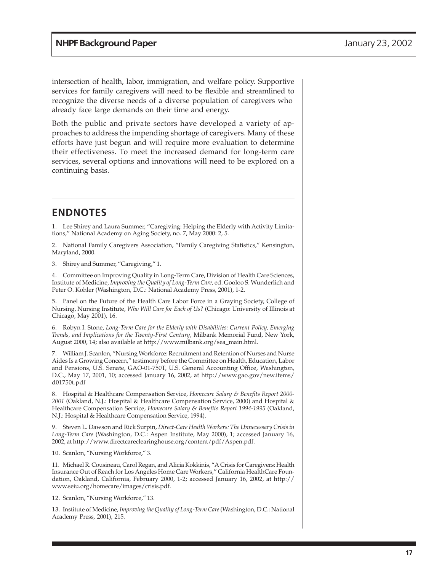intersection of health, labor, immigration, and welfare policy. Supportive services for family caregivers will need to be flexible and streamlined to already face large demands on their time and energy. recognize the diverse needs of a diverse population of caregivers who

Both the public and private sectors have developed a variety of approaches to address the impending shortage of caregivers. Many of these efforts have just begun and will require more evaluation to determine their effectiveness. To meet the increased demand for long-term care services, several options and innovations will need to be explored on a continuing basis.

#### **ENDNOTES**

1. Lee Shirey and Laura Summer, "Caregiving: Helping the Elderly with Activity Limitations," National Academy on Aging Society, no. 7, May 2000: 2, 5.

2. National Family Caregivers Association, "Family Caregiving Statistics," Kensington, Maryland, 2000.

3. Shirey and Summer, "Caregiving," 1.

4. Committee on Improving Quality in Long-Term Care, Division of Health Care Sciences, Institute of Medicine, *Improving the Quality of Long-Term Care,* ed. Gooloo S. Wunderlich and Peter O. Kohler (Washington, D.C.: National Academy Press, 2001), 1-2.

5. Panel on the Future of the Health Care Labor Force in a Graying Society, College of Nursing, Nursing Institute, *Who Will Care for Each of Us?* (Chicago: University of Illinois at Chicago, May 2001), 16.

6. Robyn I. Stone, *Long-Term Care for the Elderly with Disabilities: Current Policy, Emerging Trends, and Implications for the Twenty-First Century*, Milbank Memorial Fund, New York, August 2000, 14; also available at http://www.milbank.org/sea\_main.html.

7. William J. Scanlon, "Nursing Workforce: Recruitment and Retention of Nurses and Nurse Aides Is a Growing Concern," testimony before the Committee on Health, Education, Labor and Pensions, U.S. Senate, GAO-01-750T, U.S. General Accounting Office, Washington, D.C., May 17, 2001, 10; accessed January 16, 2002, at http://www.gao.gov/new.items/ d01750t.pdf

8. Hospital & Healthcare Compensation Service, *Homecare Salary & Benefits Report 2000- 2001* (Oakland, N.J.: Hospital & Healthcare Compensation Service, 2000) and Hospital & Healthcare Compensation Service, *Homecare Salary & Benefits Report 1994-1995* (Oakland, N.J.: Hospital & Healthcare Compensation Service, 1994).

9. Steven L. Dawson and Rick Surpin, *Direct-Care Health Workers: The Unnecessary Crisis in* 2002, at http://www.directcareclearinghouse.org/content/pdf/Aspen.pdf. *Long-Term Care* (Washington, D.C.: Aspen Institute, May 2000), 1; accessed January 16,

10. Scanlon, "Nursing Workforce," 3.

11. Michael R. Cousineau, Carol Regan, and Alicia Kokkinis, "A Crisis for Caregivers: Health Insurance Out of Reach for Los Angeles Home Care Workers," California HealthCare Foundation, Oakland, California, February 2000, 1-2; accessed January 16, 2002, at http:// www.seiu.org/homecare/images/crisis.pdf.

12. Scanlon, "Nursing Workforce," 13.

13. Institute of Medicine, *Improving the Quality of Long-Term Care* (Washington, D.C.: National Academy Press, 2001), 215.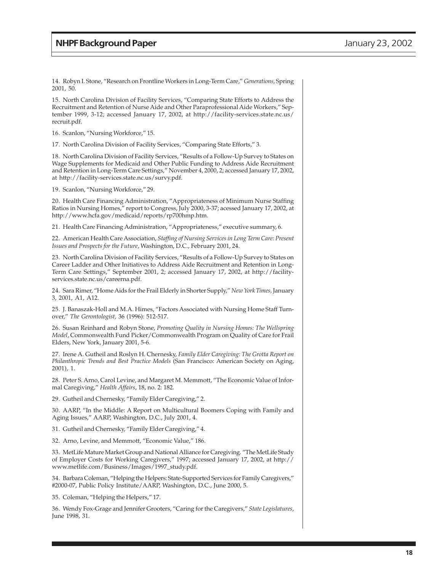14. Robyn I. Stone, "Research on Frontline Workers in Long-Term Care," *Generations*, Spring 2001, 50.

15. North Carolina Division of Facility Services, "Comparing State Efforts to Address the Recruitment and Retention of Nurse Aide and Other Paraprofessional Aide Workers," September 1999, 3-12; accessed January 17, 2002, at http://facility-services.state.nc.us/ recruit.pdf.

16. Scanlon, "Nursing Workforce," 15.

17. North Carolina Division of Facility Services, "Comparing State Efforts," 3.

18. North Carolina Division of Facility Services, "Results of a Follow-Up Survey to States on Wage Supplements for Medicaid and Other Public Funding to Address Aide Recruitment and Retention in Long-Term Care Settings," November 4, 2000, 2; accessed January 17, 2002, at http://facility-services.state.nc.us/survy.pdf.

19. Scanlon, "Nursing Workforce," 29.

20. Health Care Financing Administration, "Appropriateness of Minimum Nurse Staffing Ratios in Nursing Homes," report to Congress, July 2000, 3-37; acessed January 17, 2002, at http://www.hcfa.gov/medicaid/reports/rp700hmp.htm.

21. Health Care Financing Administration, "Appropriateness," executive summary, 6.

22. American Health Care Association, *Staffing of Nursing Services in Long Term Care: Present Issues and Prospects for the Future*, Washington, D.C., February 2001, 24.

23. North Carolina Division of Facility Services, "Results of a Follow-Up Survey to States on Career Ladder and Other Initiatives to Address Aide Recruitment and Retention in Long-Term Care Settings," September 2001, 2; accessed January 17, 2002, at http://facilityservices.state.nc.us/careerna.pdf.

24. Sara Rimer, "Home Aids for the Frail Elderly in Shorter Supply," *New York Times,* January 3, 2001, A1, A12.

25. J. Banaszak-Holl and M.A. Himes, "Factors Associated with Nursing Home Staff Turnover," *The Gerontologist,* 36 (1996): 512-517.

26. Susan Reinhard and Robyn Stone, *Promoting Quality in Nursing Homes: The Wellspring Model*, Commonwealth Fund Picker/Commonwealth Program on Quality of Care for Frail Elders, New York, January 2001, 5-6.

27. Irene A. Gutheil and Roslyn H. Chernesky, *Family Elder Caregiving: The Grotta Report on Philanthropic Trends and Best Practice Models* (San Francisco: American Society on Aging, 2001), 1.

28. Peter S. Arno, Carol Levine, and Margaret M. Memmott, "The Economic Value of Informal Caregiving," *Health Affairs*, 18, no. 2: 182.

29. Gutheil and Chernesky, "Family Elder Caregiving," 2.

30. AARP, "In the Middle: A Report on Multicultural Boomers Coping with Family and Aging Issues," AARP, Washington, D.C., July 2001, 4.

31. Gutheil and Chernesky, "Family Elder Caregiving," 4.

32. Arno, Levine, and Memmott, "Economic Value," 186.

33. MetLife Mature Market Group and National Alliance for Caregiving. "The MetLife Study of Employer Costs for Working Caregivers," 1997; accessed January 17, 2002, at http:// www.metlife.com/Business/Images/1997\_study.pdf.

34. Barbara Coleman, "Helping the Helpers: State-Supported Services for Family Caregivers," #2000-07, Public Policy Institute/AARP, Washington, D.C., June 2000, 5.

35. Coleman, "Helping the Helpers," 17.

36. Wendy Fox-Grage and Jennifer Grooters, "Caring for the Caregivers," *State Legislatures*, June 1998, 31.